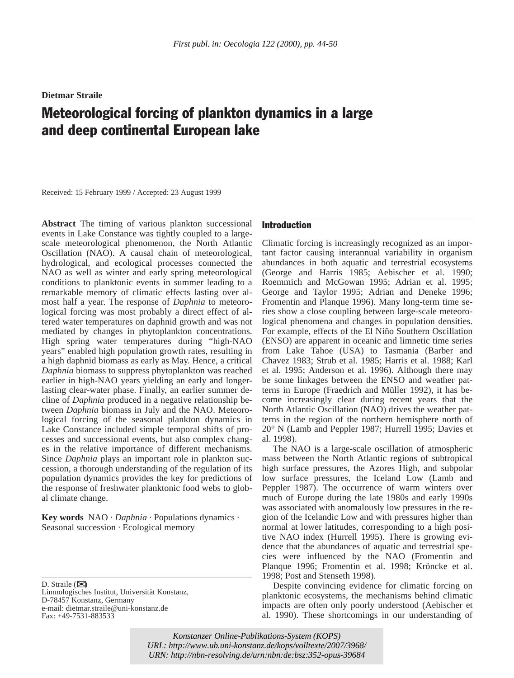**Dietmar Straile**

# Meteorological forcing of plankton dynamics in a large and deep continental European lake

Received: 15 February 1999 / Accepted: 23 August 1999

**Abstract** The timing of various plankton successional events in Lake Constance was tightly coupled to a largescale meteorological phenomenon, the North Atlantic Oscillation (NAO). A causal chain of meteorological, hydrological, and ecological processes connected the NAO as well as winter and early spring meteorological conditions to planktonic events in summer leading to a remarkable memory of climatic effects lasting over almost half a year. The response of *Daphnia* to meteorological forcing was most probably a direct effect of altered water temperatures on daphnid growth and was not mediated by changes in phytoplankton concentrations. High spring water temperatures during "high-NAO years" enabled high population growth rates, resulting in a high daphnid biomass as early as May. Hence, a critical *Daphnia* biomass to suppress phytoplankton was reached earlier in high-NAO years yielding an early and longerlasting clear-water phase. Finally, an earlier summer decline of *Daphnia* produced in a negative relationship between *Daphnia* biomass in July and the NAO. Meteorological forcing of the seasonal plankton dynamics in Lake Constance included simple temporal shifts of processes and successional events, but also complex changes in the relative importance of different mechanisms. Since *Daphnia* plays an important role in plankton succession, a thorough understanding of the regulation of its population dynamics provides the key for predictions of the response of freshwater planktonic food webs to global climate change.

**Key words** NAO · *Daphnia* · Populations dynamics · Seasonal succession · Ecological memory

D. Straile  $(\mathbb{Z})$ 

Limnologisches Institut, Universität Konstanz, D-78457 Konstanz, Germany e-mail: dietmar.straile@uni-konstanz.de Fax: +49-7531-883533

## Introduction

Climatic forcing is increasingly recognized as an important factor causing interannual variability in organism abundances in both aquatic and terrestrial ecosystems (George and Harris 1985; Aebischer et al. 1990; Roemmich and McGowan 1995; Adrian et al. 1995; George and Taylor 1995; Adrian and Deneke 1996; Fromentin and Planque 1996). Many long-term time series show a close coupling between large-scale meteorological phenomena and changes in population densities. For example, effects of the El Niño Southern Oscillation (ENSO) are apparent in oceanic and limnetic time series from Lake Tahoe (USA) to Tasmania (Barber and Chavez 1983; Strub et al. 1985; Harris et al. 1988; Karl et al. 1995; Anderson et al. 1996). Although there may be some linkages between the ENSO and weather patterns in Europe (Fraedrich and Müller 1992), it has become increasingly clear during recent years that the North Atlantic Oscillation (NAO) drives the weather patterns in the region of the northern hemisphere north of 20° N (Lamb and Peppler 1987; Hurrell 1995; Davies et al. 1998).

The NAO is a large-scale oscillation of atmospheric mass between the North Atlantic regions of subtropical high surface pressures, the Azores High, and subpolar low surface pressures, the Iceland Low (Lamb and Peppler 1987). The occurrence of warm winters over much of Europe during the late 1980s and early 1990s was associated with anomalously low pressures in the region of the Icelandic Low and with pressures higher than normal at lower latitudes, corresponding to a high positive NAO index (Hurrell 1995). There is growing evidence that the abundances of aquatic and terrestrial species were influenced by the NAO (Fromentin and Planque 1996; Fromentin et al. 1998; Kröncke et al. 1998; Post and Stenseth 1998).

Despite convincing evidence for climatic forcing on planktonic ecosystems, the mechanisms behind climatic impacts are often only poorly understood (Aebischer et al. 1990). These shortcomings in our understanding of

*Konstanzer Online-Publikations-System (KOPS) URL:<http://www.ub.uni-konstanz.de/kops/volltexte/2007/3968/> URN: <http://nbn-resolving.de/urn:nbn:de:bsz:352-opus-39684>*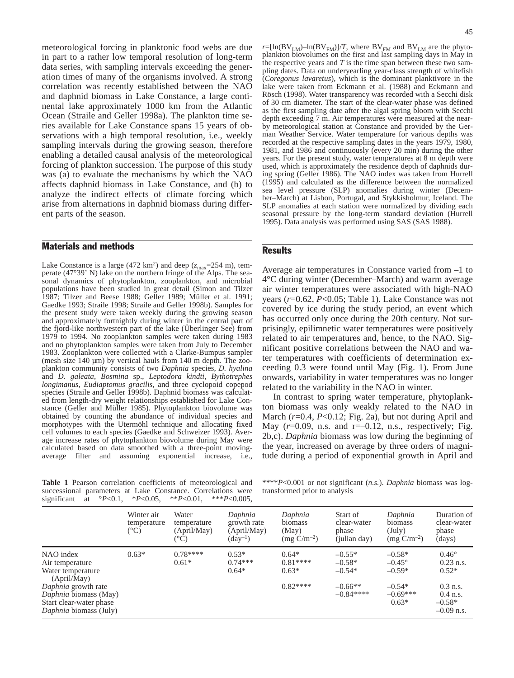meteorological forcing in planktonic food webs are due in part to a rather low temporal resolution of long-term data series, with sampling intervals exceeding the generation times of many of the organisms involved. A strong correlation was recently established between the NAO and daphnid biomass in Lake Constance, a large continental lake approximately 1000 km from the Atlantic Ocean (Straile and Geller 1998a). The plankton time series available for Lake Constance spans 15 years of observations with a high temporal resolution, i.e., weekly sampling intervals during the growing season, therefore enabling a detailed causal analysis of the meteorological forcing of plankton succession. The purpose of this study was (a) to evaluate the mechanisms by which the NAO affects daphnid biomass in Lake Constance, and (b) to analyze the indirect effects of climate forcing which arise from alternations in daphnid biomass during different parts of the season.

## Materials and methods

Lake Constance is a large (472 km<sup>2</sup>) and deep ( $z_{\text{max}}$ =254 m), temperate (47°39' N) lake on the northern fringe of the Alps. The seasonal dynamics of phytoplankton, zooplankton, and microbial populations have been studied in great detail (Simon and Tilzer 1987; Tilzer and Beese 1988; Geller 1989; Müller et al. 1991; Gaedke 1993; Straile 1998; Straile and Geller 1998b). Samples for the present study were taken weekly during the growing season and approximately fortnightly during winter in the central part of the fjord-like northwestern part of the lake (Überlinger See) from 1979 to 1994. No zooplankton samples were taken during 1983 and no phytoplankton samples were taken from July to December 1983. Zooplankton were collected with a Clarke-Bumpus sampler (mesh size  $140 \mu m$ ) by vertical hauls from  $140 \mu m$  depth. The zooplankton community consists of two *Daphnia* species, *D. hyalina* and *D. galeata*, *Bosmina* sp., *Leptodora kindti*, *Bythotrephes longimanus*, *Eudiaptomus gracilis*, and three cyclopoid copepod species (Straile and Geller 1998b). Daphnid biomass was calculated from length-dry weight relationships established for Lake Constance (Geller and Müller 1985). Phytoplankton biovolume was obtained by counting the abundance of individual species and morphotypes with the Utermöhl technique and allocating fixed cell volumes to each species (Gaedke and Schweizer 1993). Average increase rates of phytoplankton biovolume during May were calculated based on data smoothed with a three-point movingaverage filter and assuming exponential increase, i.e.,  $r=[\ln(BV_{LM})-ln(BV_{FM})]/T$ , where  $BV_{FM}$  and  $BV_{LM}$  are the phytoplankton biovolumes on the first and last sampling days in May in the respective years and  $T$  is the time span between these two sampling dates. Data on underyearling year-class strength of whitefish (*Coregonus lavaretus*), which is the dominant planktivore in the lake were taken from Eckmann et al. (1988) and Eckmann and Rösch (1998). Water transparency was recorded with a Secchi disk of 30 cm diameter. The start of the clear-water phase was defined as the first sampling date after the algal spring bloom with Secchi depth exceeding 7 m. Air temperatures were measured at the nearby meteorological station at Constance and provided by the German Weather Service. Water temperature for various depths was recorded at the respective sampling dates in the years 1979, 1980, 1981, and 1986 and continuously (every 20 min) during the other years. For the present study, water temperatures at 8 m depth were used, which is approximately the residence depth of daphnids during spring (Geller 1986). The NAO index was taken from Hurrell (1995) and calculated as the difference between the normalized sea level pressure (SLP) anomalies during winter (December–March) at Lisbon, Portugal, and Stykkisholmur, Iceland. The SLP anomalies at each station were normalized by dividing each seasonal pressure by the long-term standard deviation (Hurrell 1995). Data analysis was performed using SAS (SAS 1988).

#### Results

Average air temperatures in Constance varied from –1 to 4°C during winter (December–March) and warm average air winter temperatures were associated with high-NAO years (*r*=0.62, *P*<0.05; Table 1). Lake Constance was not covered by ice during the study period, an event which has occurred only once during the 20th century. Not surprisingly, epilimnetic water temperatures were positively related to air temperatures and, hence, to the NAO. Significant positive correlations between the NAO and water temperatures with coefficients of determination exceeding 0.3 were found until May (Fig. 1). From June onwards, variability in water temperatures was no longer related to the variability in the NAO in winter.

In contrast to spring water temperature, phytoplankton biomass was only weakly related to the NAO in March ( $r=0.4$ ,  $P<0.12$ ; Fig. 2a), but not during April and May  $(r=0.09, n.s.$  and  $r=-0.12, n.s.$ , respectively; Fig. 2b,c). *Daphnia* biomass was low during the beginning of the year, increased on average by three orders of magnitude during a period of exponential growth in April and

**Table 1** Pearson correlation coefficients of meteorological and successional parameters at Lake Constance. Correlations were significant at °*P*<0.1, \**P*<0.05, \*\**P*<0.01, \*\*\**P*<0.005,

\*\*\*\**P*<0.001 or not significant (*n.s.*). *Daphnia* biomass was logtransformed prior to analysis

|                                                                                                   | Winter air<br>temperature<br>$(^{\circ}C)$ | Water<br>temperature<br>(April/May)<br>(°C) | Daphnia<br>growth rate<br>(April/May)<br>$(\text{day}^{-1})$ | Daphnia<br>biomass<br>(May)<br>$(mg C/m^{-2})$ | Start of<br>clear-water<br>phase<br>(julian day) | Daphnia<br>biomass<br>$(\mathrm{July})$<br>$(mg C/m^{-2})$ | Duration of<br>clear-water<br>phase<br>(days)        |
|---------------------------------------------------------------------------------------------------|--------------------------------------------|---------------------------------------------|--------------------------------------------------------------|------------------------------------------------|--------------------------------------------------|------------------------------------------------------------|------------------------------------------------------|
| NAO index<br>Air temperature<br>Water temperature<br>(April/May)                                  | $0.63*$                                    | $0.78***$<br>$0.61*$                        | $0.53*$<br>$0.74***$<br>$0.64*$                              | $0.64*$<br>$0.81***$<br>$0.63*$                | $-0.55*$<br>$-0.58*$<br>$-0.54*$                 | $-0.58*$<br>$-0.45^{\circ}$<br>$-0.59*$                    | $0.46^\circ$<br>$0.23$ n.s.<br>$0.52*$               |
| Daphnia growth rate<br>Daphnia biomass (May)<br>Start clear-water phase<br>Daphnia biomass (July) |                                            |                                             |                                                              | $0.82***$                                      | $-0.66**$<br>$-0.84***$                          | $-0.54*$<br>$-0.69***$<br>$0.63*$                          | $0.3$ n.s.<br>$0.4$ n.s.<br>$-0.58*$<br>$-0.09$ n.s. |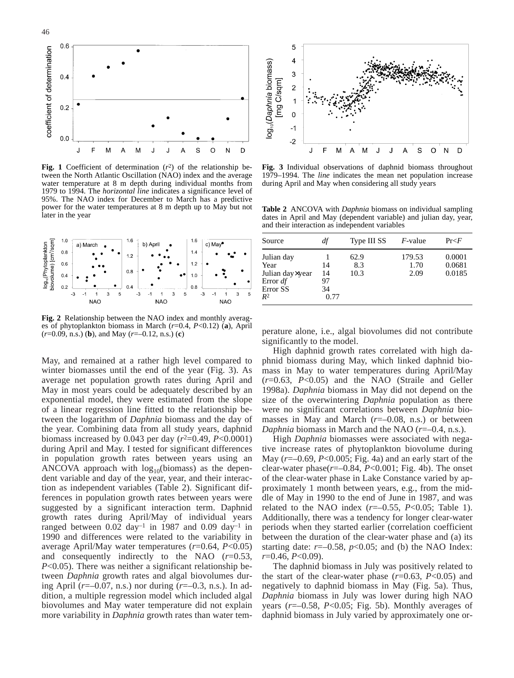

**Fig. 1** Coefficient of determination (*r*2) of the relationship between the North Atlantic Oscillation (NAO) index and the average water temperature at 8 m depth during individual months from 1979 to 1994. The *horizontal line* indicates a significance level of 95%. The NAO index for December to March has a predictive power for the water temperatures at 8 m depth up to May but not later in the year



**Fig. 2** Relationship between the NAO index and monthly averages of phytoplankton biomass in March (*r*=0.4, *P*<0.12) (**a**), April (*r*=0.09, n.s.) (**b**), and May (*r*=–0.12, n.s.) (**c**)

May, and remained at a rather high level compared to winter biomasses until the end of the year (Fig. 3). As average net population growth rates during April and May in most years could be adequately described by an exponential model, they were estimated from the slope of a linear regression line fitted to the relationship between the logarithm of *Daphnia* biomass and the day of the year. Combining data from all study years, daphnid biomass increased by 0.043 per day  $(r^2=0.49, P<0.0001)$ during April and May. I tested for significant differences in population growth rates between years using an ANCOVA approach with  $log_{10}$ (biomass) as the dependent variable and day of the year, year, and their interaction as independent variables (Table 2). Significant differences in population growth rates between years were suggested by a significant interaction term. Daphnid growth rates during April/May of individual years ranged between  $0.02 \text{ day}^{-1}$  in 1987 and  $0.09 \text{ day}^{-1}$  in 1990 and differences were related to the variability in average April/May water temperatures (*r*=0.64, *P*<0.05) and consequently indirectly to the NAO (*r*=0.53, *P*<0.05). There was neither a significant relationship between *Daphnia* growth rates and algal biovolumes during April (*r*=–0.07, n.s.) nor during (*r*=–0.3, n.s.). In addition, a multiple regression model which included algal biovolumes and May water temperature did not explain more variability in *Daphnia* growth rates than water tem-



**Fig. 3** Individual observations of daphnid biomass throughout 1979–1994. The *line* indicates the mean net population increase during April and May when considering all study years

**Table 2** ANCOVA with *Daphnia* biomass on individual sampling dates in April and May (dependent variable) and julian day, year, and their interaction as independent variables

| Source                                                                            | df                           | Type III SS         | <i>F</i> -value        | Pr < F                     |
|-----------------------------------------------------------------------------------|------------------------------|---------------------|------------------------|----------------------------|
| Julian day<br>Year<br>Julian day×year<br>Error $df$<br>Error SS<br>R <sup>2</sup> | 14<br>14<br>97<br>34<br>0.77 | 62.9<br>8.3<br>10.3 | 179.53<br>1.70<br>2.09 | 0.0001<br>0.0681<br>0.0185 |

perature alone, i.e., algal biovolumes did not contribute significantly to the model.

High daphnid growth rates correlated with high daphnid biomass during May, which linked daphnid biomass in May to water temperatures during April/May (*r*=0.63, *P*<0.05) and the NAO (Straile and Geller 1998a). *Daphnia* biomass in May did not depend on the size of the overwintering *Daphnia* population as there were no significant correlations between *Daphnia* biomasses in May and March (*r*=–0.08, n.s.) or between *Daphnia* biomass in March and the NAO (*r*=–0.4, n.s.).

High *Daphnia* biomasses were associated with negative increase rates of phytoplankton biovolume during May (*r*=–0.69, *P*<0.005; Fig. 4a) and an early start of the clear-water phase(*r*=–0.84, *P*<0.001; Fig. 4b). The onset of the clear-water phase in Lake Constance varied by approximately 1 month between years, e.g., from the middle of May in 1990 to the end of June in 1987, and was related to the NAO index  $(r=-0.55, P<0.05;$  Table 1). Additionally, there was a tendency for longer clear-water periods when they started earlier (correlation coefficient between the duration of the clear-water phase and (a) its starting date:  $r=-0.58$ ,  $p<0.05$ ; and (b) the NAO Index: *r*=0.46, *P*<0.09).

The daphnid biomass in July was positively related to the start of the clear-water phase (*r*=0.63, *P*<0.05) and negatively to daphnid biomass in May (Fig. 5a). Thus, *Daphnia* biomass in July was lower during high NAO years  $(r=-0.58, P<0.05;$  Fig. 5b). Monthly averages of daphnid biomass in July varied by approximately one or-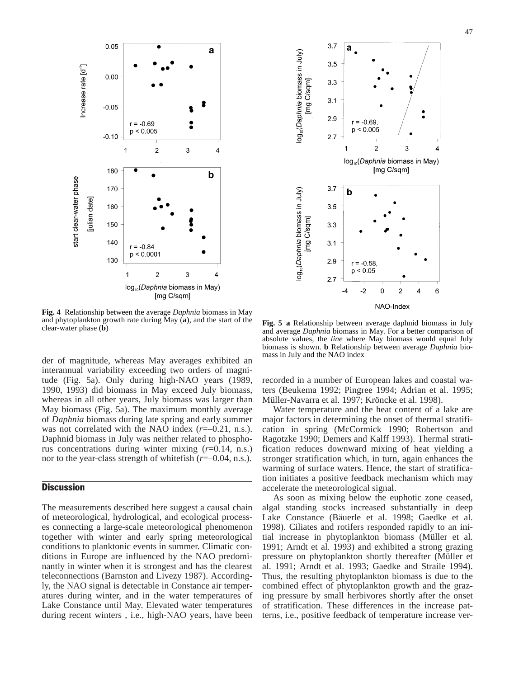

**Fig. 4** Relationship between the average *Daphnia* biomass in May and phytoplankton growth rate during May (**a**), and the start of the

der of magnitude, whereas May averages exhibited an interannual variability exceeding two orders of magnitude (Fig. 5a). Only during high-NAO years (1989, 1990, 1993) did biomass in May exceed July biomass, whereas in all other years, July biomass was larger than May biomass (Fig. 5a). The maximum monthly average of *Daphnia* biomass during late spring and early summer was not correlated with the NAO index ( $r=-0.21$ , n.s.). Daphnid biomass in July was neither related to phosphorus concentrations during winter mixing (*r*=0.14, n.s.) nor to the year-class strength of whitefish ( $r=-0.04$ , n.s.).

## **Discussion**

The measurements described here suggest a causal chain of meteorological, hydrological, and ecological processes connecting a large-scale meteorological phenomenon together with winter and early spring meteorological conditions to planktonic events in summer. Climatic conditions in Europe are influenced by the NAO predominantly in winter when it is strongest and has the clearest teleconnections (Barnston and Livezy 1987). Accordingly, the NAO signal is detectable in Constance air temperatures during winter, and in the water temperatures of Lake Constance until May. Elevated water temperatures during recent winters , i.e., high-NAO years, have been



Fig. 5 a Relationship between average daphnid biomass in July and average *Daphnia* biomass in May. For a better comparison of absolute values, the *line* where May biomass would equal July biomass is shown. **b** Relationship between average *Daphnia* biomass in July and the NAO index

recorded in a number of European lakes and coastal waters (Beukema 1992; Pingree 1994; Adrian et al. 1995; Müller-Navarra et al. 1997; Kröncke et al. 1998).

Water temperature and the heat content of a lake are major factors in determining the onset of thermal stratification in spring (McCormick 1990; Robertson and Ragotzke 1990; Demers and Kalff 1993). Thermal stratification reduces downward mixing of heat yielding a stronger stratification which, in turn, again enhances the warming of surface waters. Hence, the start of stratification initiates a positive feedback mechanism which may accelerate the meteorological signal.

As soon as mixing below the euphotic zone ceased, algal standing stocks increased substantially in deep Lake Constance (Bäuerle et al. 1998; Gaedke et al. 1998). Ciliates and rotifers responded rapidly to an initial increase in phytoplankton biomass (Müller et al. 1991; Arndt et al. 1993) and exhibited a strong grazing pressure on phytoplankton shortly thereafter (Müller et al. 1991; Arndt et al. 1993; Gaedke and Straile 1994). Thus, the resulting phytoplankton biomass is due to the combined effect of phytoplankton growth and the grazing pressure by small herbivores shortly after the onset of stratification. These differences in the increase patterns, i.e., positive feedback of temperature increase ver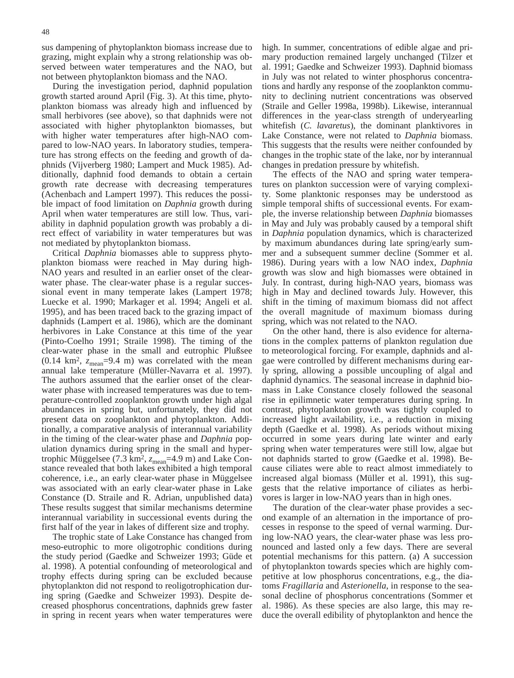sus dampening of phytoplankton biomass increase due to grazing, might explain why a strong relationship was observed between water temperatures and the NAO, but not between phytoplankton biomass and the NAO.

During the investigation period, daphnid population growth started around April (Fig. 3). At this time, phytoplankton biomass was already high and influenced by small herbivores (see above), so that daphnids were not associated with higher phytoplankton biomasses, but with higher water temperatures after high-NAO compared to low-NAO years. In laboratory studies, temperature has strong effects on the feeding and growth of daphnids (Vijverberg 1980; Lampert and Muck 1985). Additionally, daphnid food demands to obtain a certain growth rate decrease with decreasing temperatures (Achenbach and Lampert 1997). This reduces the possible impact of food limitation on *Daphnia* growth during April when water temperatures are still low. Thus, variability in daphnid population growth was probably a direct effect of variability in water temperatures but was not mediated by phytoplankton biomass.

Critical *Daphnia* biomasses able to suppress phytoplankton biomass were reached in May during high-NAO years and resulted in an earlier onset of the clearwater phase. The clear-water phase is a regular successional event in many temperate lakes (Lampert 1978; Luecke et al. 1990; Markager et al. 1994; Angeli et al. 1995), and has been traced back to the grazing impact of daphnids (Lampert et al. 1986), which are the dominant herbivores in Lake Constance at this time of the year (Pinto-Coelho 1991; Straile 1998). The timing of the clear-water phase in the small and eutrophic Plußsee  $(0.14 \text{ km}^2, z_{\text{mean}} = 9.4 \text{ m})$  was correlated with the mean annual lake temperature (Müller-Navarra et al. 1997). The authors assumed that the earlier onset of the clearwater phase with increased temperatures was due to temperature-controlled zooplankton growth under high algal abundances in spring but, unfortunately, they did not present data on zooplankton and phytoplankton. Additionally, a comparative analysis of interannual variability in the timing of the clear-water phase and *Daphnia* population dynamics during spring in the small and hypertrophic Müggelsee (7.3 km<sup>2</sup>,  $z_{\text{mean}}$ =4.9 m) and Lake Constance revealed that both lakes exhibited a high temporal coherence, i.e., an early clear-water phase in Müggelsee was associated with an early clear-water phase in Lake Constance (D. Straile and R. Adrian, unpublished data) These results suggest that similar mechanisms determine interannual variability in successional events during the first half of the year in lakes of different size and trophy.

The trophic state of Lake Constance has changed from meso-eutrophic to more oligotrophic conditions during the study period (Gaedke and Schweizer 1993; Güde et al. 1998). A potential confounding of meteorological and trophy effects during spring can be excluded because phytoplankton did not respond to reoligotrophication during spring (Gaedke and Schweizer 1993). Despite decreased phosphorus concentrations, daphnids grew faster in spring in recent years when water temperatures were

high. In summer, concentrations of edible algae and primary production remained largely unchanged (Tilzer et al. 1991; Gaedke and Schweizer 1993). Daphnid biomass in July was not related to winter phosphorus concentrations and hardly any response of the zooplankton community to declining nutrient concentrations was observed (Straile and Geller 1998a, 1998b). Likewise, interannual differences in the year-class strength of underyearling whitefish (*C. lavaretus*), the dominant planktivores in Lake Constance, were not related to *Daphnia* biomass. This suggests that the results were neither confounded by changes in the trophic state of the lake, nor by interannual changes in predation pressure by whitefish.

The effects of the NAO and spring water temperatures on plankton succession were of varying complexity. Some planktonic responses may be understood as simple temporal shifts of successional events. For example, the inverse relationship between *Daphnia* biomasses in May and July was probably caused by a temporal shift in *Daphnia* population dynamics, which is characterized by maximum abundances during late spring/early summer and a subsequent summer decline (Sommer et al. 1986). During years with a low NAO index, *Daphnia* growth was slow and high biomasses were obtained in July. In contrast, during high-NAO years, biomass was high in May and declined towards July. However, this shift in the timing of maximum biomass did not affect the overall magnitude of maximum biomass during spring, which was not related to the NAO.

On the other hand, there is also evidence for alternations in the complex patterns of plankton regulation due to meteorological forcing. For example, daphnids and algae were controlled by different mechanisms during early spring, allowing a possible uncoupling of algal and daphnid dynamics. The seasonal increase in daphnid biomass in Lake Constance closely followed the seasonal rise in epilimnetic water temperatures during spring. In contrast, phytoplankton growth was tightly coupled to increased light availability, i.e., a reduction in mixing depth (Gaedke et al. 1998). As periods without mixing occurred in some years during late winter and early spring when water temperatures were still low, algae but not daphnids started to grow (Gaedke et al. 1998). Because ciliates were able to react almost immediately to increased algal biomass (Müller et al. 1991), this suggests that the relative importance of ciliates as herbivores is larger in low-NAO years than in high ones.

The duration of the clear-water phase provides a second example of an alternation in the importance of processes in response to the speed of vernal warming. During low-NAO years, the clear-water phase was less pronounced and lasted only a few days. There are several potential mechanisms for this pattern. (a) A succession of phytoplankton towards species which are highly competitive at low phosphorus concentrations, e.g., the diatoms *Fragillaria* and *Asterionella*, in response to the seasonal decline of phosphorus concentrations (Sommer et al. 1986). As these species are also large, this may reduce the overall edibility of phytoplankton and hence the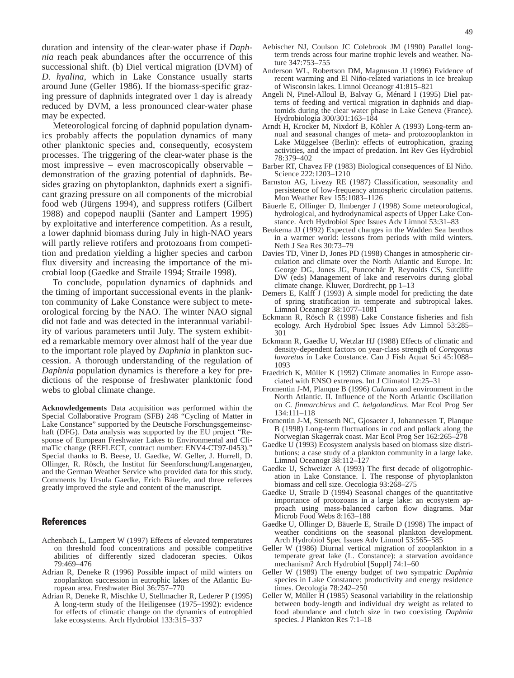duration and intensity of the clear-water phase if *Daphnia* reach peak abundances after the occurrence of this successional shift. (b) Diel vertical migration (DVM) of *D. hyalina*, which in Lake Constance usually starts around June (Geller 1986). If the biomass-specific grazing pressure of daphnids integrated over 1 day is already reduced by DVM, a less pronounced clear-water phase may be expected.

Meteorological forcing of daphnid population dynamics probably affects the population dynamics of many other planktonic species and, consequently, ecosystem processes. The triggering of the clear-water phase is the most impressive – even macroscopically observable – demonstration of the grazing potential of daphnids. Besides grazing on phytoplankton, daphnids exert a significant grazing pressure on all components of the microbial food web (Jürgens 1994), and suppress rotifers (Gilbert 1988) and copepod nauplii (Santer and Lampert 1995) by exploitative and interference competition. As a result, a lower daphnid biomass during July in high-NAO years will partly relieve rotifers and protozoans from competition and predation yielding a higher species and carbon flux diversity and increasing the importance of the microbial loop (Gaedke and Straile 1994; Straile 1998).

To conclude, population dynamics of daphnids and the timing of important successional events in the plankton community of Lake Constance were subject to meteorological forcing by the NAO. The winter NAO signal did not fade and was detected in the interannual variability of various parameters until July. The system exhibited a remarkable memory over almost half of the year due to the important role played by *Daphnia* in plankton succession. A thorough understanding of the regulation of *Daphnia* population dynamics is therefore a key for predictions of the response of freshwater planktonic food webs to global climate change.

**Acknowledgements** Data acquisition was performed within the Special Collaborative Program (SFB) 248 "Cycling of Matter in Lake Constance" supported by the Deutsche Forschungsgemeinschaft (DFG). Data analysis was supported by the EU project "Response of European Freshwater Lakes to Environmental and ClimaTic change (REFLECT, contract number: ENV4-CT97-0453)." Special thanks to B. Beese, U. Gaedke, W. Geller, J. Hurrell, D. Ollinger, R. Rösch, the Institut für Seenforschung/Langenargen, and the German Weather Service who provided data for this study. Comments by Ursula Gaedke, Erich Bäuerle, and three referees greatly improved the style and content of the manuscript.

### **References**

- Achenbach L, Lampert W (1997) Effects of elevated temperatures on threshold food concentrations and possible competitive abilities of differently sized cladoceran species. Oikos 79:469–476
- Adrian R, Deneke R (1996) Possible impact of mild winters on zooplankton succession in eutrophic lakes of the Atlantic European area. Freshwater Biol 36:757–770
- Adrian R, Deneke R, Mischke U, Stellmacher R, Lederer P (1995) A long-term study of the Heiligensee (1975–1992): evidence for effects of climatic change on the dynamics of eutrophied lake ecosystems. Arch Hydrobiol 133:315–337
- Aebischer NJ, Coulson JC Colebrook JM (1990) Parallel longterm trends across four marine trophic levels and weather. Nature 347:753–755
- Anderson WL, Robertson DM, Magnuson JJ (1996) Evidence of recent warming and El Niño-related variations in ice breakup of Wisconsin lakes. Limnol Oceanogr 41:815–821
- Angeli N, Pinel-Alloul B, Balvay G, Ménard I (1995) Diel patterns of feeding and vertical migration in daphnids and diaptomids during the clear water phase in Lake Geneva (France). Hydrobiologia 300/301:163–184
- Arndt H, Krocker M, Nixdorf B, Köhler A (1993) Long-term annual and seasonal changes of meta- and protozooplankton in Lake Müggelsee (Berlin): effects of eutrophication, grazing activities, and the impact of predation. Int Rev Ges Hydrobiol 78:379–402
- Barber RT, Chavez FP (1983) Biological consequences of El Niño. Science 222:1203–1210
- Barnston AG, Livezy RE (1987) Classification, seasonality and persistence of low-frequency atmospheric circulation patterns. Mon Weather Rev 155:1083–1126
- Bäuerle E, Ollinger D, Ilmberger J (1998) Some meteorological, hydrological, and hydrodynamical aspects of Upper Lake Constance. Arch Hydrobiol Spec Issues Adv Limnol 53:31–83
- Beukema JJ (1992) Expected changes in the Wadden Sea benthos in a warmer world: lessons from periods with mild winters. Neth J Sea Res 30:73–79
- Davies TD, Viner D, Jones PD (1998) Changes in atmospheric circulation and climate over the North Atlantic and Europe. In: George DG, Jones JG, Puncochár P, Reynolds CS, Sutcliffe DW (eds) Management of lake and reservoirs during global climate change. Kluwer, Dordrecht, pp 1–13
- Demers E, Kalff J (1993) A simple model for predicting the date of spring stratification in temperate and subtropical lakes. Limnol Oceanogr 38:1077–1081
- Eckmann R, Rösch R (1998) Lake Constance fisheries and fish ecology. Arch Hydrobiol Spec Issues Adv Limnol 53:285– 301
- Eckmann R, Gaedke U, Wetzlar HJ (1988) Effects of climatic and density-dependent factors on year-class strength of *Coregonus lavaretus* in Lake Constance. Can J Fish Aquat Sci 45:1088– 1093
- Fraedrich K, Müller K (1992) Climate anomalies in Europe associated with ENSO extremes. Int J Climatol 12:25–31
- Fromentin J-M, Planque B (1996) *Calanus* and environment in the North Atlantic. II. Influence of the North Atlantic Oscillation on *C. finmarchicus* and *C. helgolandicus*. Mar Ecol Prog Ser 134:111–118
- Fromentin J-M, Stenseth NC, Gjosaeter J, Johannessen T, Planque B (1998) Long-term fluctuations in cod and pollack along the Norwegian Skagerrak coast. Mar Ecol Prog Ser 162:265–278
- Gaedke U (1993) Ecosystem analysis based on biomass size distributions: a case study of a plankton community in a large lake. Limnol Oceanogr 38:112–127
- Gaedke U, Schweizer A (1993) The first decade of oligotrophication in Lake Constance. I. The response of phytoplankton biomass and cell size. Oecologia 93:268–275
- Gaedke U, Straile D (1994) Seasonal changes of the quantitative importance of protozoans in a large lake: an ecosystem approach using mass-balanced carbon flow diagrams. Mar Microb Food Webs 8:163–188
- Gaedke U, Ollinger D, Bäuerle E, Straile D (1998) The impact of weather conditions on the seasonal plankton development. Arch Hydrobiol Spec Issues Adv Limnol 53:565–585
- Geller W (1986) Diurnal vertical migration of zooplankton in a temperate great lake (L. Constance): a starvation avoidance mechanism? Arch Hydrobiol [Suppl] 74:1–60
- Geller W (1989) The energy budget of two sympatric *Daphnia* species in Lake Constance: productivity and energy residence times. Oecologia 78:242–250
- Geller W, Müller H (1985) Seasonal variability in the relationship between body-length and individual dry weight as related to food abundance and clutch size in two coexisting *Daphnia* species. J Plankton Res 7:1–18